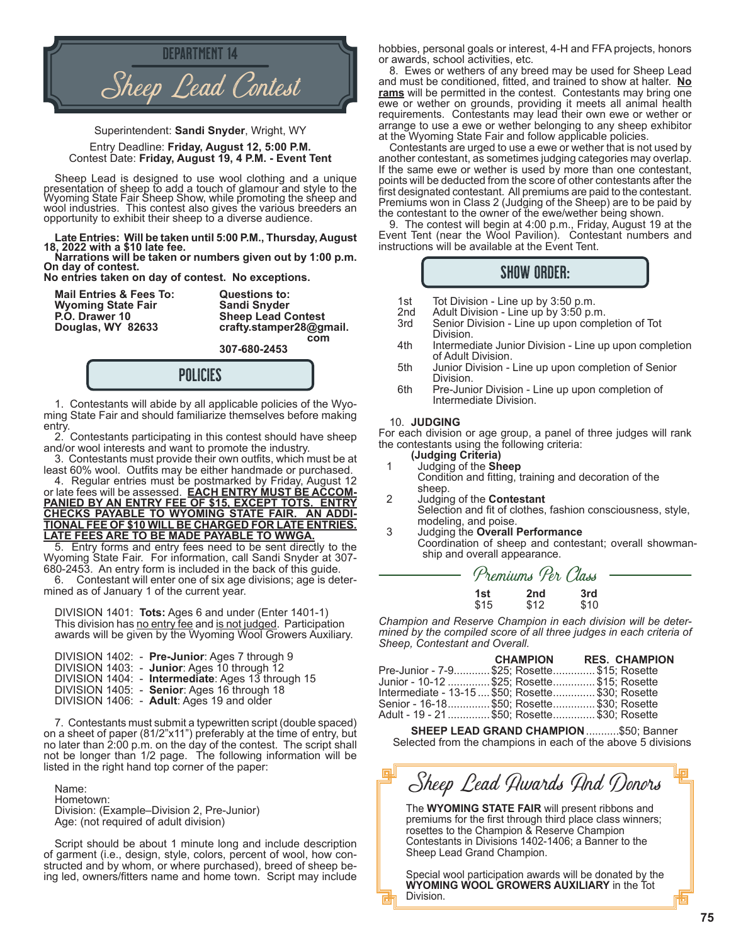

Superintendent: **Sandi Snyder**, Wright, WY

Entry Deadline: **Friday, August 12, 5:00 P.M.** Contest Date: **Friday, August 19, 4 P.M. - Event Tent**

Sheep Lead is designed to use wool clothing and a unique presentation of sheep to add a touch of glamour and style to the Wyoming State Fair Sheep Show, while promoting the sheep and wool industries. This contest also gives the various breeders an opportunity to exhibit their sheep to a diverse audience.

**Late Entries: Will be taken until 5:00 P.M., Thursday, August 18, 2022 with a \$10 late fee.**

**Narrations will be taken or numbers given out by 1:00 p.m. On day of contest.** 

**No entries taken on day of contest. No exceptions.**

**Mail Entries & Fees To: Questions to: Wyoming State Fair P.O. Drawer 10 Sheep Lead Contest**

crafty.stamper28@gmail. *complete the complete that the complete the complete the complete that the complete the complete that the complete the complete that the complete the complete the complete the complete that the complete the complete the* 



1. Contestants will abide by all applicable policies of the Wyoming State Fair and should familiarize themselves before making entry.

2. Contestants participating in this contest should have sheep and/or wool interests and want to promote the industry.

 3. Contestants must provide their own outfits, which must be at least 60% wool. Outfits may be either handmade or purchased. 4. Regular entries must be postmarked by Friday, August 12

or late fees will be assessed. **EACH ENTRY MUST BE ACCOM-PANIED BY AN ENTRY FEE OF \$15, EXCEPT TOTS. ENTRY CHECKS PAYABLE TO WYOMING STATE FAIR. AN ADDI-TIONAL FEE OF \$10 WILL BE CHARGED FOR LATE ENTRIES. LATE FEES ARE TO BE MADE PAYABLE TO WWGA.**

5. Entry forms and entry fees need to be sent directly to the Wyoming State Fair. For information, call Sandi Snyder at 307- 680-2453. An entry form is included in the back of this guide.

6. Contestant will enter one of six age divisions; age is determined as of January 1 of the current year.

DIVISION 1401: **Tots:** Ages 6 and under (Enter 1401-1) This division has no entry fee and is not judged. Participation awards will be given by the Wyoming Wool Growers Auxiliary.

|  | DIVISION 1402: - Pre-Junior: Ages 7 through 9<br>DIVISION 1403: - Junior: Ages 10 through 12 |
|--|----------------------------------------------------------------------------------------------|
|  | DIVISION 1404: - Intermediate: Ages 13 through 15                                            |
|  | DIVISION 1405: - Senior: Ages 16 through 18<br>DIVISION 1406: - Adult: Ages 19 and older     |

7. Contestants must submit a typewritten script (double spaced) on a sheet of paper (81/2"x11") preferably at the time of entry, but no later than 2:00 p.m. on the day of the contest. The script shall not be longer than 1/2 page. The following information will be listed in the right hand top corner of the paper:

Name: Hometown: Division: (Example–Division 2, Pre-Junior) Age: (not required of adult division)

Script should be about 1 minute long and include description of garment (i.e., design, style, colors, percent of wool, how constructed and by whom, or where purchased), breed of sheep being led, owners/fitters name and home town. Script may include

hobbies, personal goals or interest, 4-H and FFA projects, honors or awards, school activities, etc.

8. Ewes or wethers of any breed may be used for Sheep Lead and must be conditioned, fitted, and trained to show at halter. **No rams** will be permitted in the contest. Contestants may bring one ewe or wether on grounds, providing it meets all animal health requirements. Contestants may lead their own ewe or wether or arrange to use a ewe or wether belonging to any sheep exhibitor at the Wyoming State Fair and follow applicable policies.

Contestants are urged to use a ewe or wether that is not used by another contestant, as sometimes judging categories may overlap. If the same ewe or wether is used by more than one contestant, points will be deducted from the score of other contestants after the first designated contestant. All premiums are paid to the contestant. Premiums won in Class 2 (Judging of the Sheep) are to be paid by the contestant to the owner of the ewe/wether being shown.

9. The contest will begin at 4:00 p.m., Friday, August 19 at the Event Tent (near the Wool Pavilion). Contestant numbers and instructions will be available at the Event Tent.

## SHOW ORDER:

- 1st Tot Division Line up by 3:50 p.m.<br>2nd Adult Division Line up by 3:50 p.r
- 2nd Adult Division Line up by 3:50 p.m.
- Senior Division Line up upon completion of Tot Division.<br>4th Intermed
- Intermediate Junior Division Line up upon completion of Adult Division.<br>- 5th Junior Division
- Junior Division Line up upon completion of Senior Division.<br>6th Pre-Juni
- Pre-Junior Division Line up upon completion of Intermediate Division.

### 10. **JUDGING**

For each division or age group, a panel of three judges will rank the contestants using the following criteria:

- **(Judging Criteria)**<br>1 Judging of the **Sh** 1 Judging of the **Sheep**
- Condition and fitting, training and decoration of the sheep.<br>2 Judain
- 2 Judging of the **Contestant** Selection and fit of clothes, fashion consciousness, style,
- modeling, and poise.<br>Judging the Overall 3 Judging the **Overall Performance** Coordination of sheep and contestant; overall showman ship and overall appearance.

| Premiums Per Class |             |             |  |
|--------------------|-------------|-------------|--|
| 1st<br>\$15        | 2nd<br>\$12 | 3rd<br>\$10 |  |

*Champion and Reserve Champion in each division will be determined by the compiled score of all three judges in each criteria of Sheep, Contestant and Overall.*

|                                                   | CHAMPION RES. CHAMPION |
|---------------------------------------------------|------------------------|
| Pre-Junior - 7-9 \$25; Rosette \$15; Rosette      |                        |
| Junior - 10-12  \$25: Rosette \$15: Rosette       |                        |
| Intermediate - 13-15  \$50: Rosette \$30: Rosette |                        |
| Senior - 16-18 \$50; Rosette \$30; Rosette        |                        |
| Adult - 19 - 21 \$50: Rosette \$30: Rosette       |                        |

 **SHEEP LEAD GRAND CHAMPION**...........\$50; Banner Selected from the champions in each of the above 5 divisions

# Sheep Lead Awards And Donors

The **WYOMING STATE FAIR** will present ribbons and premiums for the first through third place class winners; rosettes to the Champion & Reserve Champion Contestants in Divisions 1402-1406; a Banner to the Sheep Lead Grand Champion.

Special wool participation awards will be donated by the **WYOMING WOOL GROWERS AUXILIARY** in the Tot Division.